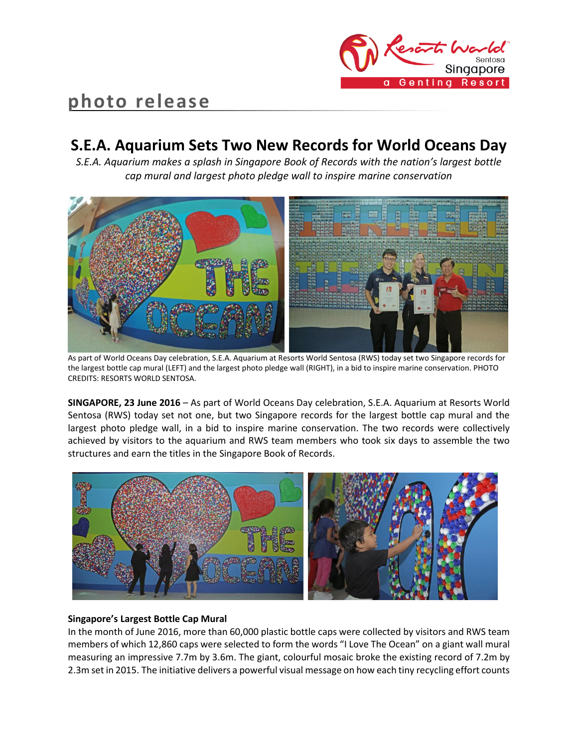

# **photo release**

# **S.E.A. Aquarium Sets Two New Records for World Oceans Day**

*S.E.A. Aquarium makes a splash in Singapore Book of Records with the nation's largest bottle cap mural and largest photo pledge wall to inspire marine conservation*



As part of World Oceans Day celebration, S.E.A. Aquarium at Resorts World Sentosa (RWS) today set two Singapore records for the largest bottle cap mural (LEFT) and the largest photo pledge wall (RIGHT), in a bid to inspire marine conservation. PHOTO CREDITS: RESORTS WORLD SENTOSA.

**SINGAPORE, 23 June 2016** – As part of World Oceans Day celebration, S.E.A. Aquarium at Resorts World Sentosa (RWS) today set not one, but two Singapore records for the largest bottle cap mural and the largest photo pledge wall, in a bid to inspire marine conservation. The two records were collectively achieved by visitors to the aquarium and RWS team members who took six days to assemble the two structures and earn the titles in the Singapore Book of Records.



## **Singapore's Largest Bottle Cap Mural**

In the month of June 2016, more than 60,000 plastic bottle caps were collected by visitors and RWS team members of which 12,860 caps were selected to form the words "I Love The Ocean" on a giant wall mural measuring an impressive 7.7m by 3.6m. The giant, colourful mosaic broke the existing record of 7.2m by 2.3m set in 2015. The initiative delivers a powerful visual message on how each tiny recycling effort counts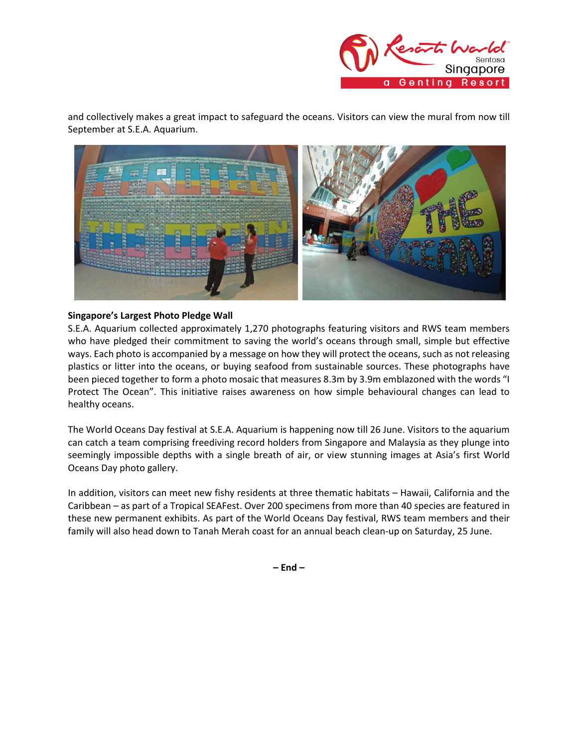

and collectively makes a great impact to safeguard the oceans. Visitors can view the mural from now till September at S.E.A. Aquarium.



### **Singapore's Largest Photo Pledge Wall**

S.E.A. Aquarium collected approximately 1,270 photographs featuring visitors and RWS team members who have pledged their commitment to saving the world's oceans through small, simple but effective ways. Each photo is accompanied by a message on how they will protect the oceans, such as not releasing plastics or litter into the oceans, or buying seafood from sustainable sources. These photographs have been pieced together to form a photo mosaic that measures 8.3m by 3.9m emblazoned with the words "I Protect The Ocean". This initiative raises awareness on how simple behavioural changes can lead to healthy oceans.

The World Oceans Day festival at S.E.A. Aquarium is happening now till 26 June. Visitors to the aquarium can catch a team comprising freediving record holders from Singapore and Malaysia as they plunge into seemingly impossible depths with a single breath of air, or view stunning images at Asia's first World Oceans Day photo gallery.

In addition, visitors can meet new fishy residents at three thematic habitats – Hawaii, California and the Caribbean – as part of a Tropical SEAFest. Over 200 specimens from more than 40 species are featured in these new permanent exhibits. As part of the World Oceans Day festival, RWS team members and their family will also head down to Tanah Merah coast for an annual beach clean-up on Saturday, 25 June.

**– End –**